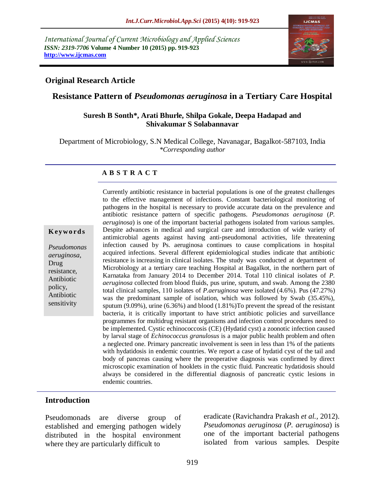*International Journal of Current Microbiology and Applied Sciences ISSN: 2319-7706* **Volume 4 Number 10 (2015) pp. 919-923 http://www.ijcmas.com** 



### **Original Research Article**

# **Resistance Pattern of** *Pseudomonas aeruginosa* **in a Tertiary Care Hospital**

### **Suresh B Sonth\*, Arati Bhurle, Shilpa Gokale, Deepa Hadapad and Shivakumar S Solabannavar**

Department of Microbiology, S.N Medical College, Navanagar, Bagalkot-587103, India *\*Corresponding author*

### **A B S T R A C T**

#### **K ey w o rd s**

*Pseudomonas aeruginosa*, Drug resistance, Antibiotic policy, Antibiotic sensitivity

Currently antibiotic resistance in bacterial populations is one of the greatest challenges to the effective management of infections. Constant bacteriological monitoring of pathogens in the hospital is necessary to provide accurate data on the prevalence and antibiotic resistance pattern of specific pathogens. *Pseudomonas aeruginosa* (*P. aeruginosa*) is one of the important bacterial pathogens isolated from various samples. Despite advances in medical and surgical care and introduction of wide variety of antimicrobial agents against having anti-pseudomonal activities, life threatening infection caused by Ps. aeruginosa continues to cause complications in hospital acquired infections. Several different epidemiological studies indicate that antibiotic resistance is increasing in clinical isolates. The study was conducted at department of Microbiology at a tertiary care teaching Hospital at Bagalkot, in the northern part of Karnataka from January 2014 to December 2014. Total 110 clinical isolates of *P. aeruginosa* collected from blood fluids, pus urine, sputum, and swab. Among the 2380 total clinical samples, 110 isolates of *P.aeruginosa* were isolated (4.6%)*.* Pus (47.27%) was the predominant sample of isolation, which was followed by Swab (35.45%), sputum (9.09%), urine (6.36%) and blood (1.81%)To prevent the spread of the resistant bacteria, it is critically important to have strict antibiotic policies and surveillance programmes for multidrug resistant organisms and infection control procedures need to be implemented. Cystic echinococcosis (CE) (Hydatid cyst) a zoonotic infection caused by larval stage of *Echinococcus granulosus* is a major public health problem and often a neglected one. Primary pancreatic involvement is seen in less than 1% of the patients with hydatidosis in endemic countries. We report a case of hydatid cyst of the tail and body of pancreas causing where the preoperative diagnosis was confirmed by direct microscopic examination of hooklets in the cystic fluid. Pancreatic hydatidosis should always be considered in the differential diagnosis of pancreatic cystic lesions in endemic countries.

### **Introduction**

Pseudomonads are diverse group of established and emerging pathogen widely distributed in the hospital environment where they are particularly difficult to

eradicate (Ravichandra Prakash *et al.,* 2012). *Pseudomonas aeruginosa* (*P. aeruginosa*) is one of the important bacterial pathogens isolated from various samples. Despite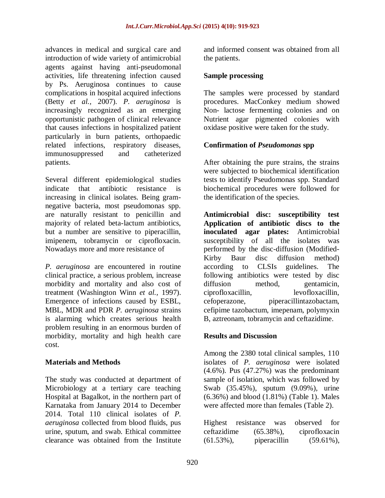advances in medical and surgical care and introduction of wide variety of antimicrobial agents against having anti-pseudomonal activities, life threatening infection caused by Ps. Aeruginosa continues to cause complications in hospital acquired infections (Betty *et al.,* 2007). *P. aeruginosa* is increasingly recognized as an emerging opportunistic pathogen of clinical relevance that causes infections in hospitalized patient particularly in burn patients, orthopaedic related infections, respiratory diseases, immunosuppressed and catheterized patients.

Several different epidemiological studies indicate that antibiotic resistance is increasing in clinical isolates. Being gramnegative bacteria, most pseudomonas spp. are naturally resistant to penicillin and majority of related beta-lactum antibiotics, but a number are sensitive to piperacillin, imipenem, tobramycin or ciprofloxacin. Nowadays more and more resistance of

*P. aeruginosa* are encountered in routine clinical practice, a serious problem, increase morbidity and mortality and also cost of treatment (Washington Winn *et al.,* 1997). Emergence of infections caused by ESBL, MBL, MDR and PDR *P. aeruginosa* strains is alarming which creates serious health problem resulting in an enormous burden of morbidity, mortality and high health care cost.

# **Materials and Methods**

The study was conducted at department of Microbiology at a tertiary care teaching Hospital at Bagalkot, in the northern part of Karnataka from January 2014 to December 2014. Total 110 clinical isolates of *P. aeruginosa* collected from blood fluids, pus urine, sputum, and swab. Ethical committee clearance was obtained from the Institute

and informed consent was obtained from all the patients.

# **Sample processing**

The samples were processed by standard procedures. MacConkey medium showed Non- lactose fermenting colonies and on Nutrient agar pigmented colonies with oxidase positive were taken for the study.

# **Confirmation of** *Pseudomonas* **spp**

After obtaining the pure strains, the strains were subjected to biochemical identification tests to identify Pseudomonas spp. Standard biochemical procedures were followed for the identification of the species.

**Antimicrobial disc: susceptibility test Application of antibiotic discs to the inoculated agar plates:** Antimicrobial susceptibility of all the isolates was performed by the disc-diffusion (Modified-Kirby Baur disc diffusion method) according to CLSIs guidelines. The following antibiotics were tested by disc diffusion method, gentamicin, ciprofloxacillin, levofloxacillin, cefoperazone, piperacillintazobactam, cefipime tazobactum, imepenam, polymyxin B, aztreonam, tobramycin and ceftazidime.

### **Results and Discussion**

Among the 2380 total clinical samples, 110 isolates of *P. aeruginosa* were isolated (4.6%)*.* Pus (47.27%) was the predominant sample of isolation, which was followed by Swab (35.45%), sputum (9.09%), urine (6.36%) and blood (1.81%) (Table 1). Males were affected more than females (Table 2).

|              | Highest resistance | was          | observed for  |  |
|--------------|--------------------|--------------|---------------|--|
| ceftazidime  |                    | $(65.38\%),$ | ciprofloxacin |  |
| $(61.53\%),$ |                    | piperacillin | $(59.61\%),$  |  |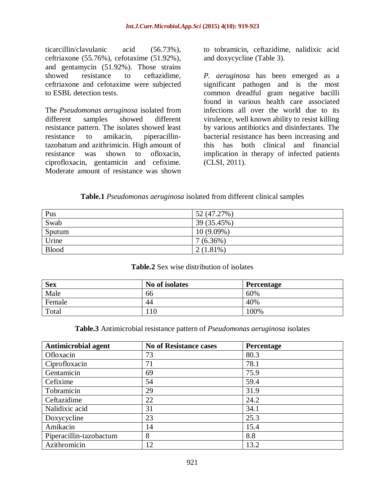ticarcillin/clavulanic acid (56.73%), ceftriaxone (55.76%), cefotaxime (51.92%), and gentamycin (51.92%). Those strains showed resistance to ceftazidime, ceftriaxone and cefotaxime were subjected to ESBL detection tests.

The *Pseudomonas aeruginosa* isolated from different samples showed different resistance pattern. The isolates showed least resistance to amikacin, piperacillintazobatum and azithrimicin. High amount of resistance was shown to ofloxacin, ciprofloxacin, gentamicin and cefixime. Moderate amount of resistance was shown to tobramicin, ceftazidime, nalidixic acid and doxycycline (Table 3).

*P. aeruginosa* has been emerged as a significant pathogen and is the most common dreadful gram negative bacilli found in various health care associated infections all over the world due to its virulence, well known ability to resist killing by various antibiotics and disinfectants. The bacterial resistance has been increasing and this has both clinical and financial implication in therapy of infected patients (CLSI, 2011).

### **Table.1** *Pseudomonas aeruginosa* isolated from different clinical samples

| Pus          | 52 (47.27%)  |
|--------------|--------------|
| Swab         | 39 (35.45%)  |
| Sputum       | $10(9.09\%)$ |
| Urine        | $7(6.36\%)$  |
| <b>Blood</b> | $2(1.81\%)$  |

#### **Table.2** Sex wise distribution of isolates

| <b>Sex</b> | No of isolates | <b>Percentage</b> |
|------------|----------------|-------------------|
| Male       | 66             | 60%               |
| Female     | 44             | 40%               |
| Total      | 110            | 100%              |

#### **Table.3** Antimicrobial resistance pattern of *Pseudomonas aeruginosa* isolates

| <b>Antimicrobial agent</b> | <b>No of Resistance cases</b> | Percentage |
|----------------------------|-------------------------------|------------|
| Ofloxacin                  | 73                            | 80.3       |
| Ciprofloxacin              | 71                            | 78.1       |
| Gentamicin                 | 69                            | 75.9       |
| Cefixime                   | 54                            | 59.4       |
| Tobramicin                 | 29                            | 31.9       |
| Ceftazidime                | 22                            | 24.2       |
| Nalidixic acid             | 31                            | 34.1       |
| Doxycycline                | 23                            | 25.3       |
| Amikacin                   | 14                            | 15.4       |
| Piperacillin-tazobactum    | 8                             | 8.8        |
| Azithromicin               | 12                            | 13.2       |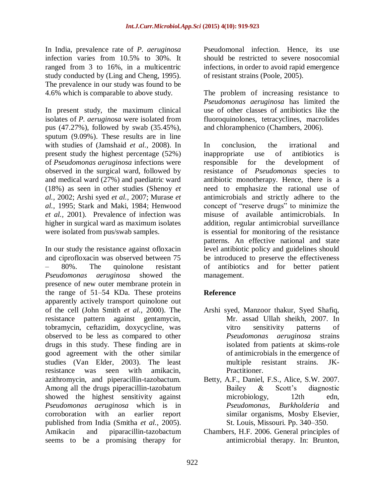In India, prevalence rate of *P. aeruginosa*  infection varies from 10.5% to 30%. It ranged from 3 to 16%, in a multicentric study conducted by (Ling and Cheng, 1995). The prevalence in our study was found to be 4.6% which is comparable to above study.

In present study, the maximum clinical isolates of *P. aeruginosa* were isolated from pus (47.27%), followed by swab (35.45%), sputum (9.09%). These results are in line with studies of (Jamshaid *et al.,* 2008). In present study the highest percentage (52%) of *Pseudomonas aeruginosa* infections were observed in the surgical ward, followed by and medical ward (27%) and paediatric ward (18%) as seen in other studies (Shenoy *et al.,* 2002; Arshi syed *et al.,* 2007; Murase *et al.,* 1995; Stark and Maki, 1984; Henwood *et al.,* 2001). Prevalence of infection was higher in surgical ward as maximum isolates were isolated from pus/swab samples.

In our study the resistance against ofloxacin and ciprofloxacin was observed between 75 – 80%. The quinolone resistant *Pseudomonas aeruginosa* showed the presence of new outer membrane protein in the range of 51–54 KDa. These proteins apparently actively transport quinolone out of the cell (John Smith *et al.,* 2000). The resistance pattern against gentamycin, tobramycin, ceftazidim, doxycycline, was observed to be less as compared to other drugs in this study. These finding are in good agreement with the other similar studies (Van Elder, 2003). The least resistance was seen with amikacin, azithromycin, and piperacillin-tazobactum. Among all the drugs piperacillin-tazobatum showed the highest sensitivity against *Pseudomonas aeruginosa* which is in corroboration with an earlier report published from India (Smitha *et al.,* 2005). Amikacin and piparacillin-tazobactum seems to be a promising therapy for

Pseudomonal infection. Hence, its use should be restricted to severe nosocomial infections, in order to avoid rapid emergence of resistant strains (Poole, 2005).

The problem of increasing resistance to *Pseudomonas aeruginosa* has limited the use of other classes of antibiotics like the fluoroquinolones, tetracyclines, macrolides and chloramphenico (Chambers, 2006).

In conclusion, the irrational and inappropriate use of antibiotics is responsible for the development of resistance of *Pseudomonas* species to antibiotic monotherapy. Hence, there is a need to emphasize the rational use of antimicrobials and strictly adhere to the concept of "reserve drugs" to minimize the misuse of available antimicrobials. In addition, regular antimicrobial surveillance is essential for monitoring of the resistance patterns. An effective national and state level antibiotic policy and guidelines should be introduced to preserve the effectiveness of antibiotics and for better patient management.

# **Reference**

- Arshi syed, Manzoor thakur, Syed Shafiq, Mr. assad Ullah sheikh, 2007. In vitro sensitivity patterns of *Pseudomonas aeruginosa* strains isolated from patients at skims-role of antimicrobials in the emergence of multiple resistant strains. JK-Practitioner.
- Betty, A.F., Daniel, F.S., Alice, S.W. 2007. Bailey & Scott's diagnostic microbiology, 12th edn, *Pseudomonas, Burkholderia* and similar organisms, Mosby Elsevier, St. Louis, Missouri. Pp. 340–350.
- Chambers, H.F. 2006. General principles of antimicrobial therapy. In: Brunton,